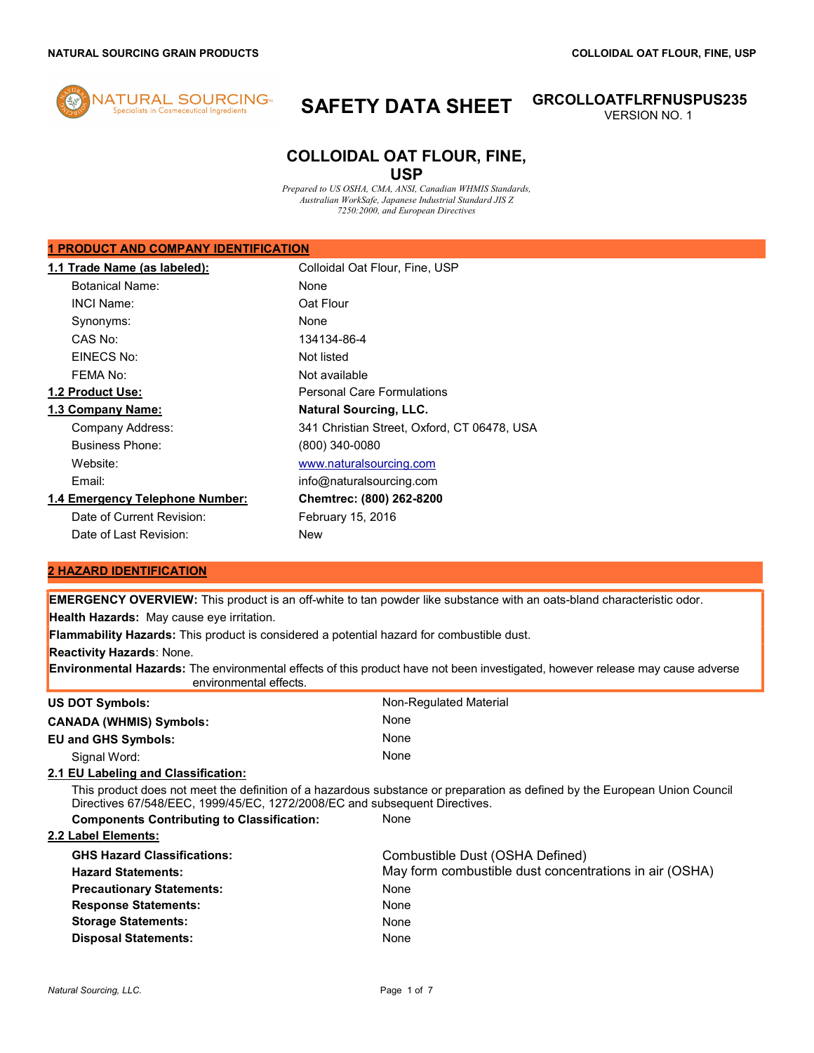

# SAFETY DATA SHEET GRCOLLOATFLRFNUSPUS235

VERSION NO. 1

# COLLOIDAL OAT FLOUR, FINE, USP

Prepared to US OSHA, CMA, ANSI, Canadian WHMIS Standards, Australian WorkSafe, Japanese Industrial Standard JIS Z 7250:2000, and European Directives

# 1 PRODUCT AND COMPANY IDENTIFICATION

| 1.1 Trade Name (as labeled):    | Colloidal Oat Flour, Fine, USP              |
|---------------------------------|---------------------------------------------|
| <b>Botanical Name:</b>          | None                                        |
| <b>INCI Name:</b>               | Oat Flour                                   |
| Synonyms:                       | None                                        |
| CAS No:                         | 134134-86-4                                 |
| EINECS No:                      | Not listed                                  |
| FFMA No:                        | Not available                               |
| 1.2 Product Use:                | <b>Personal Care Formulations</b>           |
| 1.3 Company Name:               | <b>Natural Sourcing, LLC.</b>               |
| Company Address:                | 341 Christian Street, Oxford, CT 06478, USA |
| <b>Business Phone:</b>          | (800) 340-0080                              |
| Website:                        | www.naturalsourcing.com                     |
| Email:                          | info@naturalsourcing.com                    |
| 1.4 Emergency Telephone Number: | Chemtrec: (800) 262-8200                    |
| Date of Current Revision:       | <b>February 15, 2016</b>                    |
| Date of Last Revision:          | New                                         |

# 2 HAZARD IDENTIFICATION

**EMERGENCY OVERVIEW:** This product is an off-white to tan powder like substance with an oats-bland characteristic odor.

**Health Hazards:** May cause eye irritation.

Flammability Hazards: This product is considered a potential hazard for combustible dust.

Reactivity Hazards: None.

Environmental Hazards: The environmental effects of this product have not been investigated, however release may cause adverse environmental effects.

| <b>US DOT Symbols:</b>                                                     | Non-Regulated Material                                                                                                     |
|----------------------------------------------------------------------------|----------------------------------------------------------------------------------------------------------------------------|
| <b>CANADA (WHMIS) Symbols:</b>                                             | None                                                                                                                       |
| <b>EU and GHS Symbols:</b>                                                 | None                                                                                                                       |
| Signal Word:                                                               | None                                                                                                                       |
| 2.1 EU Labeling and Classification:                                        |                                                                                                                            |
| Directives 67/548/EEC, 1999/45/EC, 1272/2008/EC and subsequent Directives. | This product does not meet the definition of a hazardous substance or preparation as defined by the European Union Council |
| <b>Components Contributing to Classification:</b>                          | None                                                                                                                       |
| 2.2 Label Elements:                                                        |                                                                                                                            |
| <b>GHS Hazard Classifications:</b>                                         | Combustible Dust (OSHA Defined)                                                                                            |
| <b>Hazard Statements:</b>                                                  | May form combustible dust concentrations in air (OSHA)                                                                     |
| <b>Precautionary Statements:</b>                                           | None                                                                                                                       |
| <b>Response Statements:</b>                                                | None                                                                                                                       |
| <b>Storage Statements:</b>                                                 | None                                                                                                                       |
| <b>Disposal Statements:</b>                                                | None                                                                                                                       |
|                                                                            |                                                                                                                            |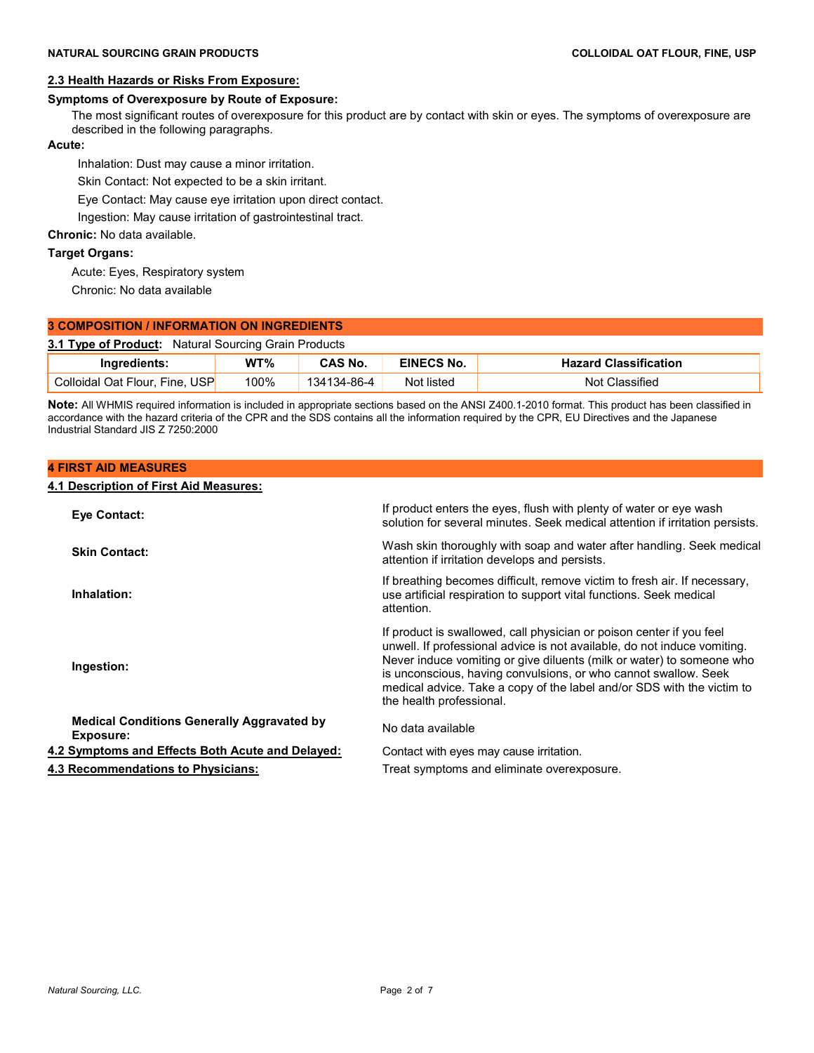# 2.3 Health Hazards or Risks From Exposure:

### Symptoms of Overexposure by Route of Exposure:

 The most significant routes of overexposure for this product are by contact with skin or eyes. The symptoms of overexposure are described in the following paragraphs.

### Acute:

Inhalation: Dust may cause a minor irritation.

Skin Contact: Not expected to be a skin irritant.

Eye Contact: May cause eye irritation upon direct contact.

Ingestion: May cause irritation of gastrointestinal tract.

## Chronic: No data available.

### Target Organs:

Acute: Eyes, Respiratory system

Chronic: No data available

| <b>3 COMPOSITION / INFORMATION ON INGREDIENTS</b>           |      |                |            |                              |
|-------------------------------------------------------------|------|----------------|------------|------------------------------|
| <b>3.1 Type of Product:</b> Natural Sourcing Grain Products |      |                |            |                              |
| Ingredients:                                                | WT%  | <b>CAS No.</b> | EINECS No. | <b>Hazard Classification</b> |
| Colloidal Oat Flour, Fine, USP                              | 100% | 134134-86-4    | Not listed | Not Classified               |

Note: All WHMIS required information is included in appropriate sections based on the ANSI Z400.1-2010 format. This product has been classified in accordance with the hazard criteria of the CPR and the SDS contains all the information required by the CPR, EU Directives and the Japanese Industrial Standard JIS Z 7250:2000

### 4 FIRST AID MEASURES

## 4.1 Description of First Aid Measures:

| Eye Contact:                                                   | If product enters the eyes, flush with plenty of water or eye wash<br>solution for several minutes. Seek medical attention if irritation persists.                                                                                                                                                                                                                                                 |
|----------------------------------------------------------------|----------------------------------------------------------------------------------------------------------------------------------------------------------------------------------------------------------------------------------------------------------------------------------------------------------------------------------------------------------------------------------------------------|
| <b>Skin Contact:</b>                                           | Wash skin thoroughly with soap and water after handling. Seek medical<br>attention if irritation develops and persists.                                                                                                                                                                                                                                                                            |
| Inhalation:                                                    | If breathing becomes difficult, remove victim to fresh air. If necessary,<br>use artificial respiration to support vital functions. Seek medical<br>attention.                                                                                                                                                                                                                                     |
| Ingestion:                                                     | If product is swallowed, call physician or poison center if you feel<br>unwell. If professional advice is not available, do not induce vomiting.<br>Never induce vomiting or give diluents (milk or water) to someone who<br>is unconscious, having convulsions, or who cannot swallow. Seek<br>medical advice. Take a copy of the label and/or SDS with the victim to<br>the health professional. |
| <b>Medical Conditions Generally Aggravated by</b><br>Exposure: | No data available                                                                                                                                                                                                                                                                                                                                                                                  |
| 4.2 Symptoms and Effects Both Acute and Delayed:               | Contact with eyes may cause irritation.                                                                                                                                                                                                                                                                                                                                                            |
| 4.3 Recommendations to Physicians:                             | Treat symptoms and eliminate overexposure.                                                                                                                                                                                                                                                                                                                                                         |
|                                                                |                                                                                                                                                                                                                                                                                                                                                                                                    |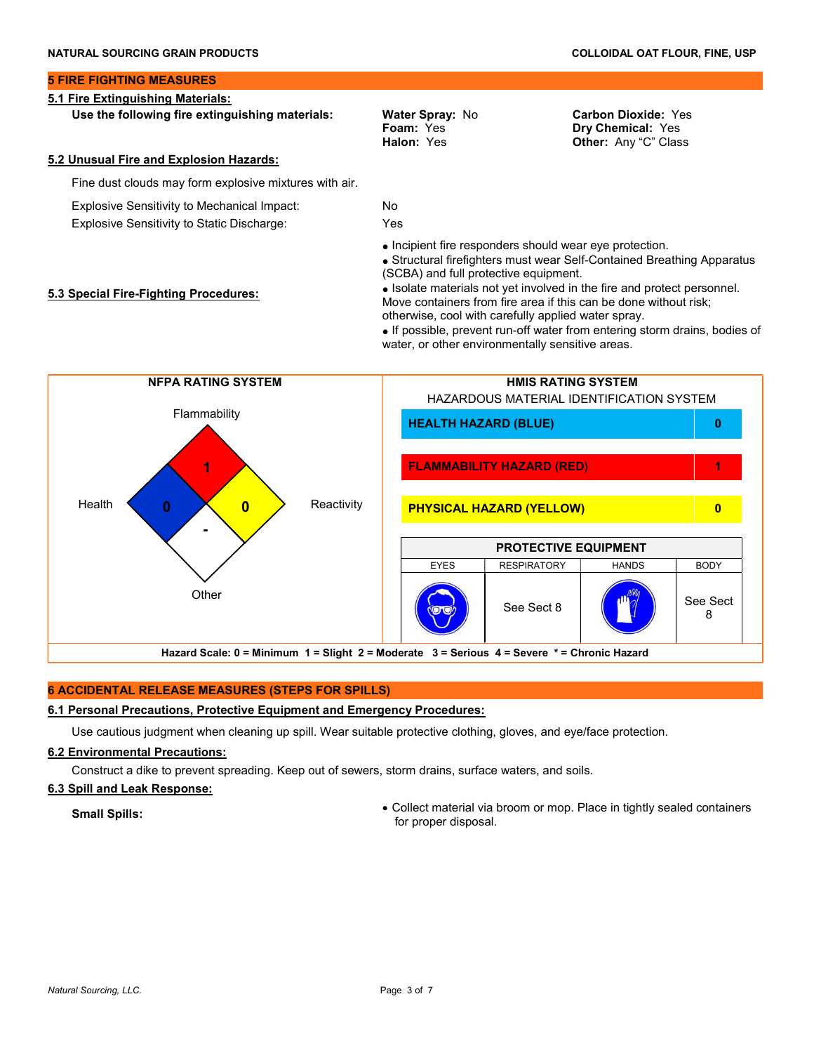### 5 FIRE FIGHTING MEASURES

### 5.1 Fire Extinguishing Materials:

Use the following fire extinguishing materials: Water Spray: No

Foam: Yes Halon: Yes Carbon Dioxide: Yes Dry Chemical: Yes Other: Any "C" Class

### 5.2 Unusual Fire and Explosion Hazards:

5.3 Special Fire-Fighting Procedures:

Fine dust clouds may form explosive mixtures with air.

Explosive Sensitivity to Mechanical Impact: No

Explosive Sensitivity to Static Discharge: Yes

• Incipient fire responders should wear eye protection.

 Structural firefighters must wear Self-Contained Breathing Apparatus (SCBA) and full protective equipment.

• Isolate materials not vet involved in the fire and protect personnel. Move containers from fire area if this can be done without risk; otherwise, cool with carefully applied water spray.

 If possible, prevent run-off water from entering storm drains, bodies of water, or other environmentally sensitive areas.



# 6 ACCIDENTAL RELEASE MEASURES (STEPS FOR SPILLS)

# 6.1 Personal Precautions, Protective Equipment and Emergency Procedures:

Use cautious judgment when cleaning up spill. Wear suitable protective clothing, gloves, and eye/face protection.

# 6.2 Environmental Precautions:

Construct a dike to prevent spreading. Keep out of sewers, storm drains, surface waters, and soils.

# 6.3 Spill and Leak Response:

Small Spills: Collect material via broom or mop. Place in tightly sealed containers for proper disposal.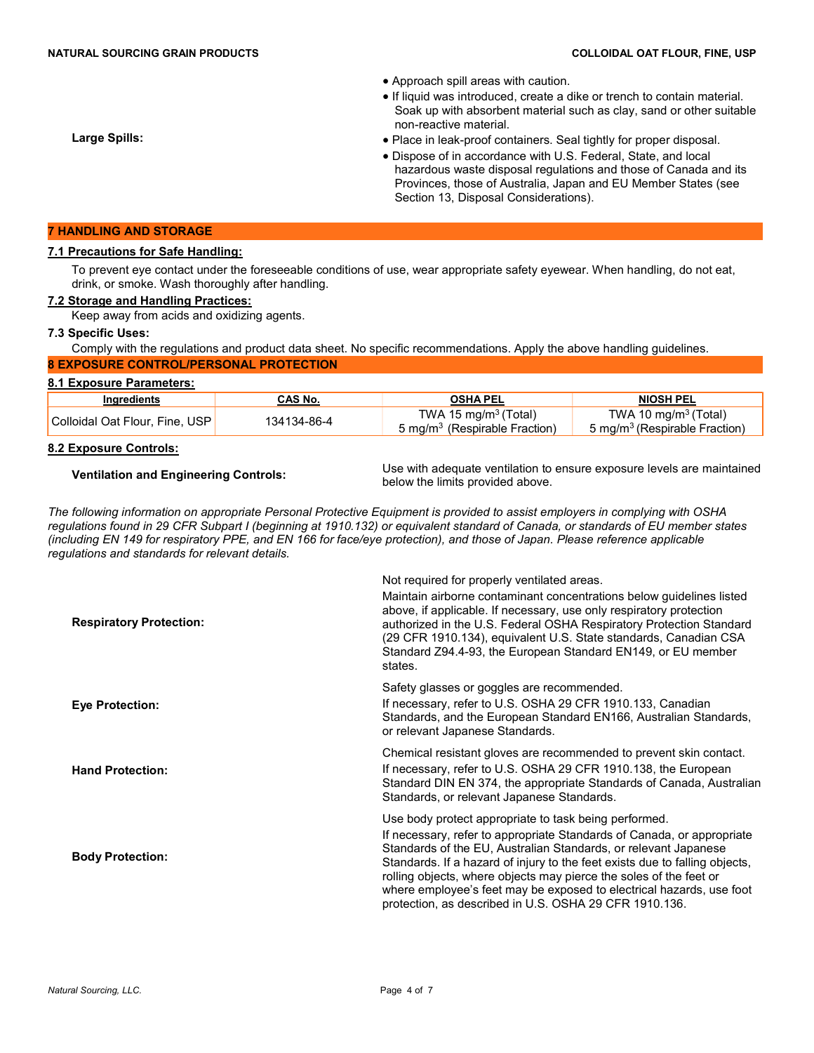- Approach spill areas with caution.
- If liquid was introduced, create a dike or trench to contain material. Soak up with absorbent material such as clay, sand or other suitable non-reactive material.
- Place in leak-proof containers. Seal tightly for proper disposal.
- Dispose of in accordance with U.S. Federal, State, and local hazardous waste disposal regulations and those of Canada and its Provinces, those of Australia, Japan and EU Member States (see Section 13, Disposal Considerations).

### 7 HANDLING AND STORAGE

### 7.1 Precautions for Safe Handling:

 To prevent eye contact under the foreseeable conditions of use, wear appropriate safety eyewear. When handling, do not eat, drink, or smoke. Wash thoroughly after handling.

## 7.2 Storage and Handling Practices:

Keep away from acids and oxidizing agents.

### 7.3 Specific Uses:

 Comply with the regulations and product data sheet. No specific recommendations. Apply the above handling guidelines. 8 EXPOSURE CONTROL/PERSONAL PROTECTION

### 8.1 Exposure Parameters:

| Ingredients                    | CAS No.     | <b>OSHA PEL</b>                                                      | <b>NIOSH PEL</b>                                                              |
|--------------------------------|-------------|----------------------------------------------------------------------|-------------------------------------------------------------------------------|
| Colloidal Oat Flour, Fine, USP | 134134-86-4 | TWA 15 mg/m $3$ (Total)<br>5 mg/m <sup>3</sup> (Respirable Fraction) | TWA 10 mg/m <sup>3</sup> (Total)<br>5 mg/m <sup>3</sup> (Respirable Fraction) |

### 8.2 Exposure Controls:

Ventilation and Engineering Controls: Use with adequate ventilation to ensure exposure levels are maintained below the limits provided above.

The following information on appropriate Personal Protective Equipment is provided to assist employers in complying with OSHA regulations found in 29 CFR Subpart I (beginning at 1910.132) or equivalent standard of Canada, or standards of EU member states (including EN 149 for respiratory PPE, and EN 166 for face/eye protection), and those of Japan. Please reference applicable regulations and standards for relevant details.

Not required for properly ventilated areas.

| <b>Respiratory Protection:</b> | Maintain airborne contaminant concentrations below guidelines listed<br>above, if applicable. If necessary, use only respiratory protection<br>authorized in the U.S. Federal OSHA Respiratory Protection Standard<br>(29 CFR 1910.134), equivalent U.S. State standards, Canadian CSA<br>Standard Z94.4-93, the European Standard EN149, or EU member<br>states.                                                                                                                         |
|--------------------------------|-------------------------------------------------------------------------------------------------------------------------------------------------------------------------------------------------------------------------------------------------------------------------------------------------------------------------------------------------------------------------------------------------------------------------------------------------------------------------------------------|
|                                | Safety glasses or goggles are recommended.                                                                                                                                                                                                                                                                                                                                                                                                                                                |
| <b>Eye Protection:</b>         | If necessary, refer to U.S. OSHA 29 CFR 1910.133, Canadian<br>Standards, and the European Standard EN166, Australian Standards,<br>or relevant Japanese Standards.                                                                                                                                                                                                                                                                                                                        |
| <b>Hand Protection:</b>        | Chemical resistant gloves are recommended to prevent skin contact.<br>If necessary, refer to U.S. OSHA 29 CFR 1910.138, the European<br>Standard DIN EN 374, the appropriate Standards of Canada, Australian<br>Standards, or relevant Japanese Standards.                                                                                                                                                                                                                                |
| <b>Body Protection:</b>        | Use body protect appropriate to task being performed.<br>If necessary, refer to appropriate Standards of Canada, or appropriate<br>Standards of the EU, Australian Standards, or relevant Japanese<br>Standards. If a hazard of injury to the feet exists due to falling objects,<br>rolling objects, where objects may pierce the soles of the feet or<br>where employee's feet may be exposed to electrical hazards, use foot<br>protection, as described in U.S. OSHA 29 CFR 1910.136. |

Large Spills: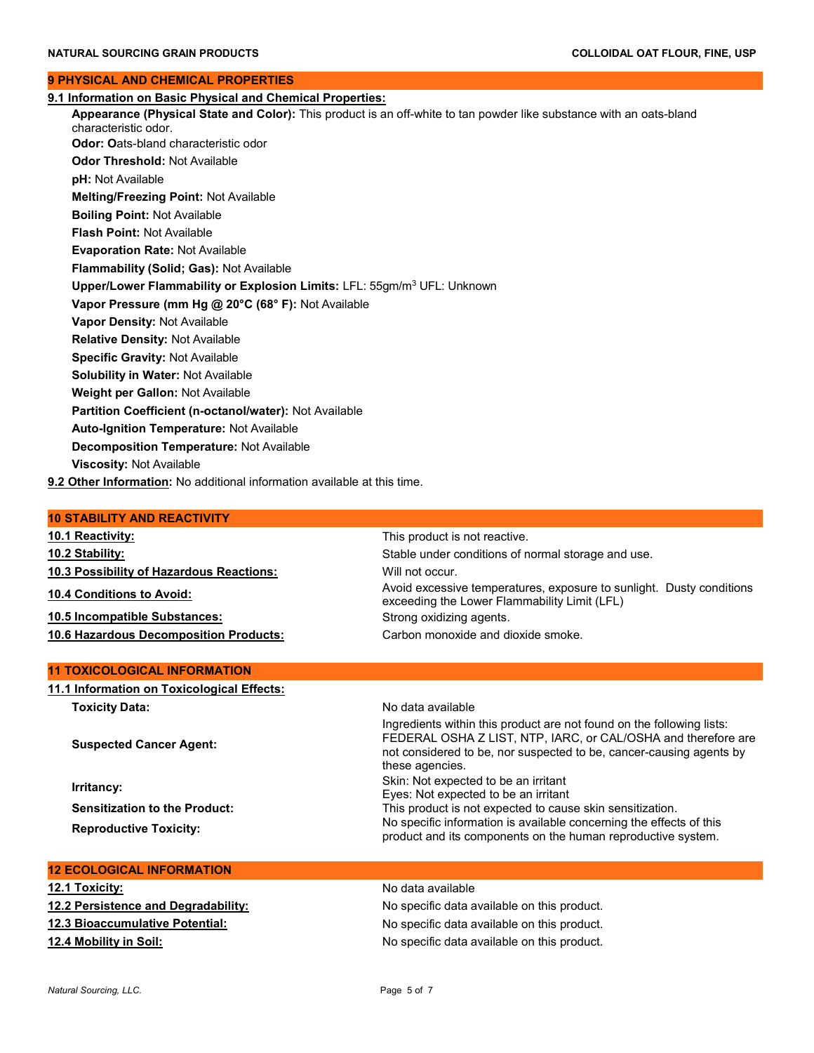### 9 PHYSICAL AND CHEMICAL PROPERTIES

9.1 Information on Basic Physical and Chemical Properties: Appearance (Physical State and Color): This product is an off-white to tan powder like substance with an oats-bland characteristic odor. Odor: Oats-bland characteristic odor Odor Threshold: Not Available pH: Not Available Melting/Freezing Point: Not Available Boiling Point: Not Available Flash Point: Not Available Evaporation Rate: Not Available Flammability (Solid; Gas): Not Available Upper/Lower Flammability or Explosion Limits: LFL: 55gm/m<sup>3</sup> UFL: Unknown Vapor Pressure (mm Hg @ 20°C (68° F): Not Available Vapor Density: Not Available Relative Density: Not Available Specific Gravity: Not Available Solubility in Water: Not Available Weight per Gallon: Not Available Partition Coefficient (n-octanol/water): Not Available Auto-Ignition Temperature: Not Available Decomposition Temperature: Not Available Viscosity: Not Available 9.2 Other Information: No additional information available at this time. 10 STABILITY AND REACTIVITY

# 10.1 Reactivity: This product is not reactive.

10.2 Stability: Stable under conditions of normal storage and use. 10.3 Possibility of Hazardous Reactions: Will not occur. 10.4 Conditions to Avoid: Avoid excessive temperatures, exposure to sunlight. Dusty conditions 10.5 Incompatible Substances: Strong oxidizing agents. 10.6 Hazardous Decomposition Products: Carbon monoxide and dioxide smoke.

### 11 TOXICOLOGICAL INFORMATION

11.1 Information on Toxicological Effects: Toxicity Data: No data available

Suspected Cancer Agent:

Ingredients within this product are not found on the following lists: FEDERAL OSHA Z LIST, NTP, IARC, or CAL/OSHA and therefore are not considered to be, nor suspected to be, cancer-causing agents by these agencies. **Irritancy:** Skin: Not expected to be an irritant in the series of the series of the series of the series of the series of the series of the series of the series of the series of the series of the series of the series of t Eyes: Not expected to be an irritant Sensitization to the Product: This product is not expected to cause skin sensitization. Reproductive Toxicity:<br>
Reproductive Toxicity:<br>
No specific information is available concerning the effects of this product and its components on the human reproductive system.

exceeding the Lower Flammability Limit (LFL)

## 12 ECOLOGICAL INFORMATION

| 12.1 Toxicity:                      | No data available                           |
|-------------------------------------|---------------------------------------------|
| 12.2 Persistence and Degradability: | No specific data available on this product. |
| 12.3 Bioaccumulative Potential:     | No specific data available on this product. |
| 12.4 Mobility in Soil:              | No specific data available on this product. |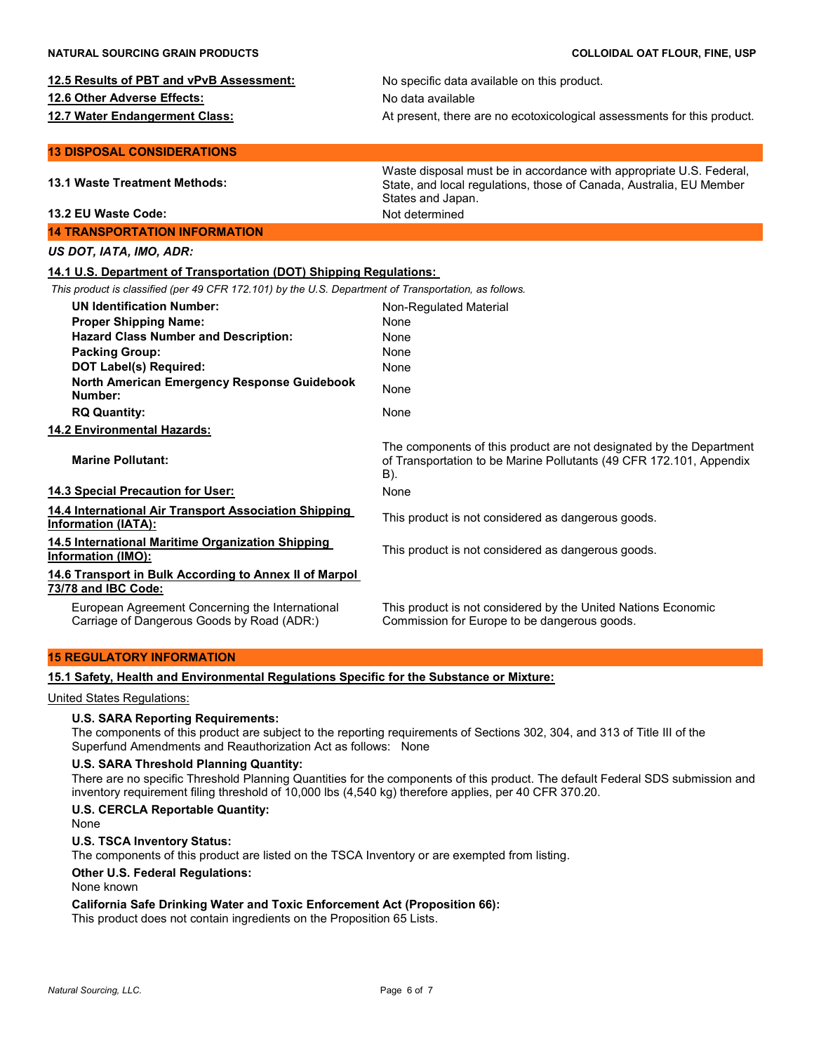|  |  |  |  | 12.5 Results of PBT and vPvB Assessment: |
|--|--|--|--|------------------------------------------|
|--|--|--|--|------------------------------------------|

12.6 Other Adverse Effects: No data available

No specific data available on this product. 12.7 Water Endangerment Class: **At present, there are no ecotoxicological assessments for this product.** 

### 13 DISPOSAL CONSIDERATIONS

| <b>13.1 Waste Treatment Methods:</b>                                                                  | Waste disposal must be in accordance with appropriate U.S. Federal,<br>State, and local regulations, those of Canada, Australia, EU Member<br>States and Japan. |
|-------------------------------------------------------------------------------------------------------|-----------------------------------------------------------------------------------------------------------------------------------------------------------------|
| 13.2 EU Waste Code:                                                                                   | Not determined                                                                                                                                                  |
| <b>14 TRANSPORTATION INFORMATION</b>                                                                  |                                                                                                                                                                 |
| US DOT, IATA, IMO, ADR:                                                                               |                                                                                                                                                                 |
| 14.1 U.S. Department of Transportation (DOT) Shipping Regulations:                                    |                                                                                                                                                                 |
| This product is classified (per 49 CFR 172.101) by the U.S. Department of Transportation, as follows. |                                                                                                                                                                 |
| <b>UN Identification Number:</b>                                                                      | Non-Regulated Material                                                                                                                                          |
| <b>Proper Shipping Name:</b>                                                                          | None                                                                                                                                                            |
| <b>Hazard Class Number and Description:</b>                                                           | None                                                                                                                                                            |
| <b>Packing Group:</b>                                                                                 | <b>None</b>                                                                                                                                                     |
| <b>DOT Label(s) Required:</b>                                                                         | None                                                                                                                                                            |
| North American Emergency Response Guidebook<br>Number:                                                | None                                                                                                                                                            |
| <b>RQ Quantity:</b>                                                                                   | None                                                                                                                                                            |
| 14.2 Environmental Hazards:                                                                           |                                                                                                                                                                 |
| <b>Marine Pollutant:</b>                                                                              | The components of this product are not designated by the Department<br>of Transportation to be Marine Pollutants (49 CFR 172.101, Appendix<br>B).               |
| 14.3 Special Precaution for User:                                                                     | None                                                                                                                                                            |
| 14.4 International Air Transport Association Shipping<br><b>Information (IATA):</b>                   | This product is not considered as dangerous goods.                                                                                                              |
| 14.5 International Maritime Organization Shipping<br>Information (IMO):                               | This product is not considered as dangerous goods.                                                                                                              |
| 14.6 Transport in Bulk According to Annex II of Marpol<br>73/78 and IBC Code:                         |                                                                                                                                                                 |
| European Agreement Concerning the International<br>Carriage of Dangerous Goods by Road (ADR:)         | This product is not considered by the United Nations Economic<br>Commission for Europe to be dangerous goods.                                                   |

### 15 REGULATORY INFORMATION

15.1 Safety, Health and Environmental Regulations Specific for the Substance or Mixture:

# United States Regulations:

### U.S. SARA Reporting Requirements:

 The components of this product are subject to the reporting requirements of Sections 302, 304, and 313 of Title III of the Superfund Amendments and Reauthorization Act as follows: None

### U.S. SARA Threshold Planning Quantity:

 There are no specific Threshold Planning Quantities for the components of this product. The default Federal SDS submission and inventory requirement filing threshold of 10,000 lbs (4,540 kg) therefore applies, per 40 CFR 370.20.

### U.S. CERCLA Reportable Quantity:

None

### U.S. TSCA Inventory Status:

The components of this product are listed on the TSCA Inventory or are exempted from listing.

### Other U.S. Federal Regulations:

None known

### California Safe Drinking Water and Toxic Enforcement Act (Proposition 66):

This product does not contain ingredients on the Proposition 65 Lists.